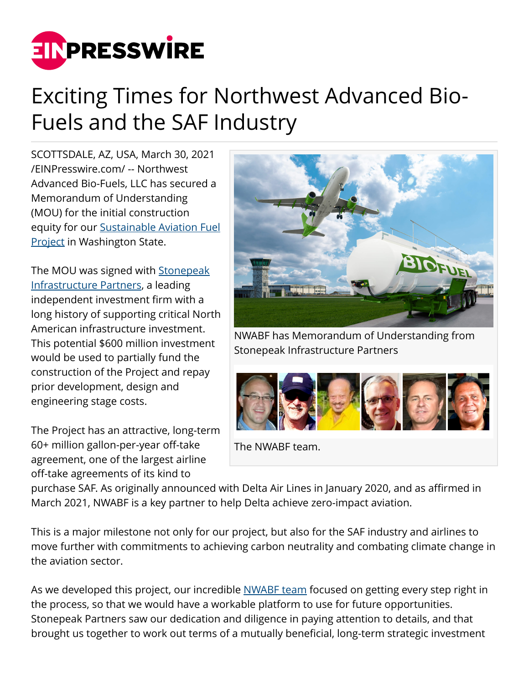

## Exciting Times for Northwest Advanced Bio-Fuels and the SAF Industry

SCOTTSDALE, AZ, USA, March 30, 2021 [/EINPresswire.com/](http://www.einpresswire.com) -- Northwest Advanced Bio-Fuels, LLC has secured a Memorandum of Understanding (MOU) for the initial construction equity for our [Sustainable Aviation Fuel](https://nwabiofuels.com/our-solution/grays-harbor-project/) **[Project](https://nwabiofuels.com/our-solution/grays-harbor-project/) in Washington State.** 

The MOU was signed with [Stonepeak](https://stonepeakpartners.com/) [Infrastructure Partners,](https://stonepeakpartners.com/) a leading independent investment firm with a long history of supporting critical North American infrastructure investment. This potential \$600 million investment would be used to partially fund the construction of the Project and repay prior development, design and engineering stage costs.

The Project has an attractive, long-term 60+ million gallon-per-year off-take agreement, one of the largest airline off-take agreements of its kind to



NWABF has Memorandum of Understanding from Stonepeak Infrastructure Partners



The NWABF team.

purchase SAF. As originally announced with Delta Air Lines in January 2020, and as affirmed in March 2021, NWABF is a key partner to help Delta achieve zero-impact aviation.

This is a major milestone not only for our project, but also for the SAF industry and airlines to move further with commitments to achieving carbon neutrality and combating climate change in the aviation sector.

As we developed this project, our incredible [NWABF team](https://nwabiofuels.com/building-a-winning-saf-super-bowl-team-quarterback/) focused on getting every step right in the process, so that we would have a workable platform to use for future opportunities. Stonepeak Partners saw our dedication and diligence in paying attention to details, and that brought us together to work out terms of a mutually beneficial, long-term strategic investment